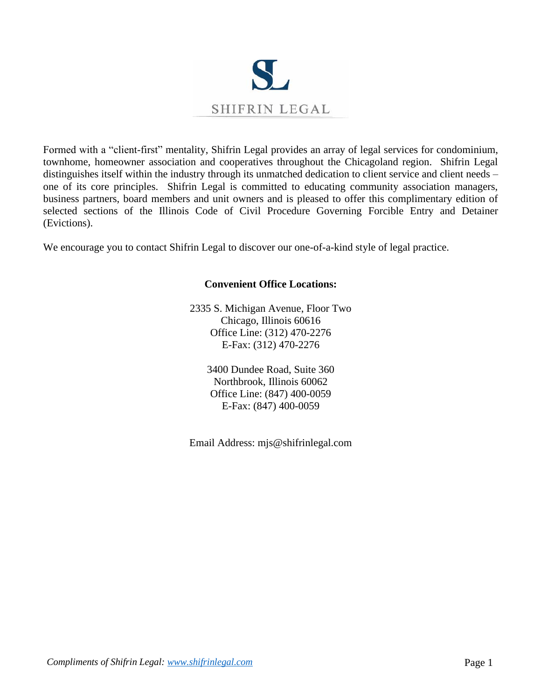

Formed with a "client-first" mentality, Shifrin Legal provides an array of legal services for condominium, townhome, homeowner association and cooperatives throughout the Chicagoland region. Shifrin Legal distinguishes itself within the industry through its unmatched dedication to client service and client needs – one of its core principles. Shifrin Legal is committed to educating community association managers, business partners, board members and unit owners and is pleased to offer this complimentary edition of selected sections of the Illinois Code of Civil Procedure Governing Forcible Entry and Detainer (Evictions).

We encourage you to contact Shifrin Legal to discover our one-of-a-kind style of legal practice.

# **Convenient Office Locations:**

2335 S. Michigan Avenue, Floor Two Chicago, Illinois 60616 Office Line: (312) 470-2276 E-Fax: (312) 470-2276

> 3400 Dundee Road, Suite 360 Northbrook, Illinois 60062 Office Line: (847) 400-0059 E-Fax: (847) 400-0059

Email Address: mjs@shifrinlegal.com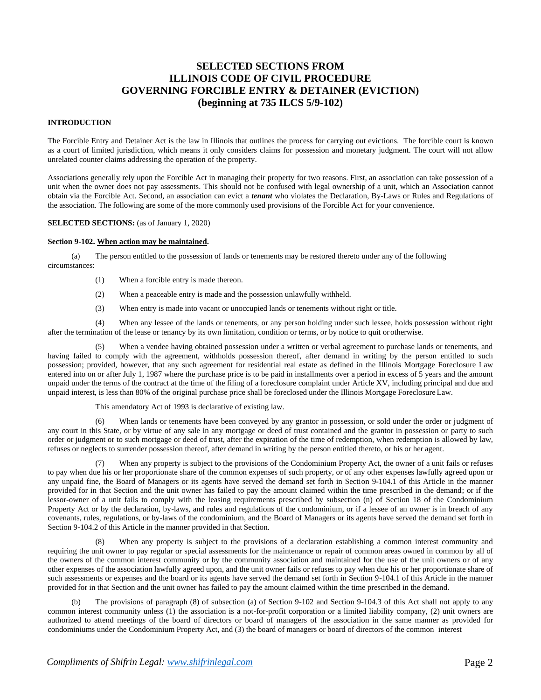# **SELECTED SECTIONS FROM ILLINOIS CODE OF CIVIL PROCEDURE GOVERNING FORCIBLE ENTRY & DETAINER (EVICTION) (beginning at 735 ILCS 5/9-102)**

## **INTRODUCTION**

The Forcible Entry and Detainer Act is the law in Illinois that outlines the process for carrying out evictions. The forcible court is known as a court of limited jurisdiction, which means it only considers claims for possession and monetary judgment. The court will not allow unrelated counter claims addressing the operation of the property.

Associations generally rely upon the Forcible Act in managing their property for two reasons. First, an association can take possession of a unit when the owner does not pay assessments. This should not be confused with legal ownership of a unit, which an Association cannot obtain via the Forcible Act. Second, an association can evict a *tenant* who violates the Declaration, By-Laws or Rules and Regulations of the association. The following are some of the more commonly used provisions of the Forcible Act for your convenience.

#### **SELECTED SECTIONS:** (as of January 1, 2020)

#### **Section 9-102. When action may be maintained.**

(a) The person entitled to the possession of lands or tenements may be restored thereto under any of the following circumstances:

- (1) When a forcible entry is made thereon.
- (2) When a peaceable entry is made and the possession unlawfully withheld.
- (3) When entry is made into vacant or unoccupied lands or tenements without right or title.

(4) When any lessee of the lands or tenements, or any person holding under such lessee, holds possession without right after the termination of the lease or tenancy by its own limitation, condition or terms, or by notice to quit orotherwise.

(5) When a vendee having obtained possession under a written or verbal agreement to purchase lands or tenements, and having failed to comply with the agreement, withholds possession thereof, after demand in writing by the person entitled to such possession; provided, however, that any such agreement for residential real estate as defined in the Illinois Mortgage Foreclosure Law entered into on or after July 1, 1987 where the purchase price is to be paid in installments over a period in excess of 5 years and the amount unpaid under the terms of the contract at the time of the filing of a foreclosure complaint under Article XV, including principal and due and unpaid interest, is less than 80% of the original purchase price shall be foreclosed under the Illinois Mortgage Foreclosure Law.

This amendatory Act of 1993 is declarative of existing law.

(6) When lands or tenements have been conveyed by any grantor in possession, or sold under the order or judgment of any court in this State, or by virtue of any sale in any mortgage or deed of trust contained and the grantor in possession or party to such order or judgment or to such mortgage or deed of trust, after the expiration of the time of redemption, when redemption is allowed by law, refuses or neglects to surrender possession thereof, after demand in writing by the person entitled thereto, or his or her agent.

When any property is subject to the provisions of the Condominium Property Act, the owner of a unit fails or refuses to pay when due his or her proportionate share of the common expenses of such property, or of any other expenses lawfully agreed upon or any unpaid fine, the Board of Managers or its agents have served the demand set forth in Section 9-104.1 of this Article in the manner provided for in that Section and the unit owner has failed to pay the amount claimed within the time prescribed in the demand; or if the lessor-owner of a unit fails to comply with the leasing requirements prescribed by subsection (n) of Section 18 of the Condominium Property Act or by the declaration, by-laws, and rules and regulations of the condominium, or if a lessee of an owner is in breach of any covenants, rules, regulations, or by-laws of the condominium, and the Board of Managers or its agents have served the demand set forth in Section 9-104.2 of this Article in the manner provided in that Section.

When any property is subject to the provisions of a declaration establishing a common interest community and requiring the unit owner to pay regular or special assessments for the maintenance or repair of common areas owned in common by all of the owners of the common interest community or by the community association and maintained for the use of the unit owners or of any other expenses of the association lawfully agreed upon, and the unit owner fails or refuses to pay when due his or her proportionate share of such assessments or expenses and the board or its agents have served the demand set forth in Section 9-104.1 of this Article in the manner provided for in that Section and the unit owner has failed to pay the amount claimed within the time prescribed in the demand.

The provisions of paragraph  $(8)$  of subsection (a) of Section 9-102 and Section 9-104.3 of this Act shall not apply to any common interest community unless (1) the association is a not-for-profit corporation or a limited liability company, (2) unit owners are authorized to attend meetings of the board of directors or board of managers of the association in the same manner as provided for condominiums under the Condominium Property Act, and (3) the board of managers or board of directors of the common interest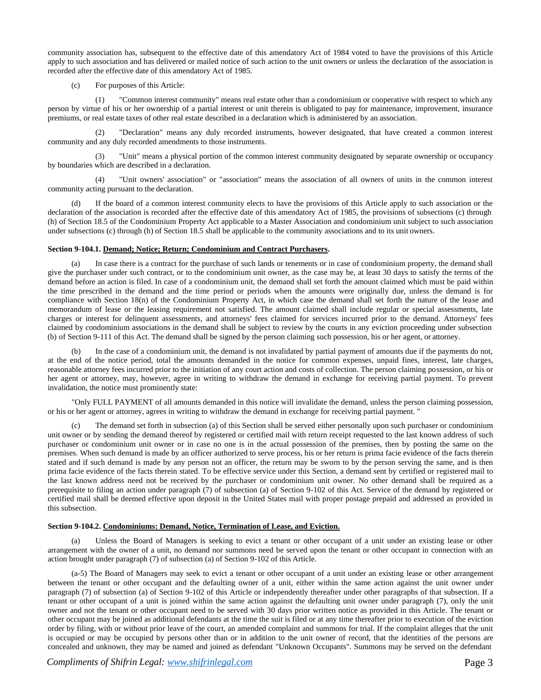community association has, subsequent to the effective date of this amendatory Act of 1984 voted to have the provisions of this Article apply to such association and has delivered or mailed notice of such action to the unit owners or unless the declaration of the association is recorded after the effective date of this amendatory Act of 1985.

### (c) For purposes of this Article:

(1) "Common interest community" means real estate other than a condominium or cooperative with respect to which any person by virtue of his or her ownership of a partial interest or unit therein is obligated to pay for maintenance, improvement, insurance premiums, or real estate taxes of other real estate described in a declaration which is administered by an association.

(2) "Declaration" means any duly recorded instruments, however designated, that have created a common interest community and any duly recorded amendments to those instruments.

(3) "Unit" means a physical portion of the common interest community designated by separate ownership or occupancy by boundaries which are described in a declaration.

(4) "Unit owners' association" or "association" means the association of all owners of units in the common interest community acting pursuant to the declaration.

(d) If the board of a common interest community elects to have the provisions of this Article apply to such association or the declaration of the association is recorded after the effective date of this amendatory Act of 1985, the provisions of subsections (c) through (h) of Section 18.5 of the Condominium Property Act applicable to a Master Association and condominium unit subject to such association under subsections (c) through (h) of Section 18.5 shall be applicable to the community associations and to its unit owners.

### **Section 9-104.1. Demand; Notice; Return; Condominium and Contract Purchasers.**

(a) In case there is a contract for the purchase of such lands or tenements or in case of condominium property, the demand shall give the purchaser under such contract, or to the condominium unit owner, as the case may be, at least 30 days to satisfy the terms of the demand before an action is filed. In case of a condominium unit, the demand shall set forth the amount claimed which must be paid within the time prescribed in the demand and the time period or periods when the amounts were originally due, unless the demand is for compliance with Section 18(n) of the Condominium Property Act, in which case the demand shall set forth the nature of the lease and memorandum of lease or the leasing requirement not satisfied. The amount claimed shall include regular or special assessments, late charges or interest for delinquent assessments, and attorneys' fees claimed for services incurred prior to the demand. Attorneys' fees claimed by condominium associations in the demand shall be subject to review by the courts in any eviction proceeding under subsection (b) of Section 9-111 of this Act. The demand shall be signed by the person claiming such possession, his or her agent, or attorney.

(b) In the case of a condominium unit, the demand is not invalidated by partial payment of amounts due if the payments do not, at the end of the notice period, total the amounts demanded in the notice for common expenses, unpaid fines, interest, late charges, reasonable attorney fees incurred prior to the initiation of any court action and costs of collection. The person claiming possession, or his or her agent or attorney, may, however, agree in writing to withdraw the demand in exchange for receiving partial payment. To prevent invalidation, the notice must prominently state:

"Only FULL PAYMENT of all amounts demanded in this notice will invalidate the demand, unless the person claiming possession, or his or her agent or attorney, agrees in writing to withdraw the demand in exchange for receiving partial payment. "

(c) The demand set forth in subsection (a) of this Section shall be served either personally upon such purchaser or condominium unit owner or by sending the demand thereof by registered or certified mail with return receipt requested to the last known address of such purchaser or condominium unit owner or in case no one is in the actual possession of the premises, then by posting the same on the premises. When such demand is made by an officer authorized to serve process, his or her return is prima facie evidence of the facts therein stated and if such demand is made by any person not an officer, the return may be sworn to by the person serving the same, and is then prima facie evidence of the facts therein stated. To be effective service under this Section, a demand sent by certified or registered mail to the last known address need not be received by the purchaser or condominium unit owner. No other demand shall be required as a prerequisite to filing an action under paragraph (7) of subsection (a) of Section 9-102 of this Act. Service of the demand by registered or certified mail shall be deemed effective upon deposit in the United States mail with proper postage prepaid and addressed as provided in this subsection.

#### **Section 9-104.2. Condominiums: Demand, Notice, Termination of Lease, and Eviction.**

(a) Unless the Board of Managers is seeking to evict a tenant or other occupant of a unit under an existing lease or other arrangement with the owner of a unit, no demand nor summons need be served upon the tenant or other occupant in connection with an action brought under paragraph (7) of subsection (a) of Section 9-102 of this Article.

(a-5) The Board of Managers may seek to evict a tenant or other occupant of a unit under an existing lease or other arrangement between the tenant or other occupant and the defaulting owner of a unit, either within the same action against the unit owner under paragraph (7) of subsection (a) of Section 9-102 of this Article or independently thereafter under other paragraphs of that subsection. If a tenant or other occupant of a unit is joined within the same action against the defaulting unit owner under paragraph (7), only the unit owner and not the tenant or other occupant need to be served with 30 days prior written notice as provided in this Article. The tenant or other occupant may be joined as additional defendants at the time the suit is filed or at any time thereafter prior to execution of the eviction order by filing, with or without prior leave of the court, an amended complaint and summons for trial. If the complaint alleges that the unit is occupied or may be occupied by persons other than or in addition to the unit owner of record, that the identities of the persons are concealed and unknown, they may be named and joined as defendant "Unknown Occupants". Summons may be served on the defendant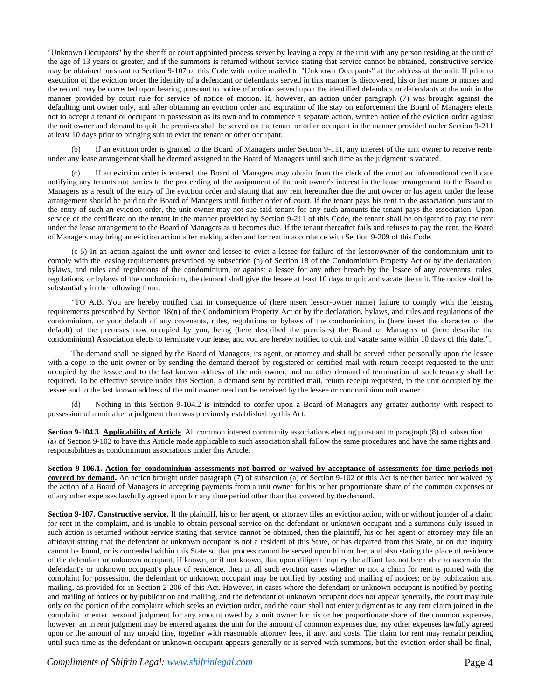"Unknown Occupants" by the sheriff or court appointed process server by leaving a copy at the unit with any person residing at the unit of the age of 13 years or greater, and if the summons is returned without service stating that service cannot be obtained, constructive service may be obtained pursuant to Section 9-107 of this Code with notice mailed to "Unknown Occupants" at the address of the unit. If prior to execution of the eviction order the identity of a defendant or defendants served in this manner is discovered, his or her name or names and the record may be corrected upon hearing pursuant to notice of motion served upon the identified defendant or defendants at the unit in the manner provided by court rule for service of notice of motion. If, however, an action under paragraph (7) was brought against the defaulting unit owner only, and after obtaining an eviction order and expiration of the stay on enforcement the Board of Managers elects not to accept a tenant or occupant in possession as its own and to commence a separate action, written notice of the eviction order against the unit owner and demand to quit the premises shall be served on the tenant or other occupant in the manner provided under Section 9-211 at least 10 days prior to bringing suit to evict the tenant or other occupant.

If an eviction order is granted to the Board of Managers under Section 9-111, any interest of the unit owner to receive rents under any lease arrangement shall be deemed assigned to the Board of Managers until such time as the judgment is vacated.

(c) If an eviction order is entered, the Board of Managers may obtain from the clerk of the court an informational certificate notifying any tenants not parties to the proceeding of the assignment of the unit owner's interest in the lease arrangement to the Board of Managers as a result of the entry of the eviction order and stating that any rent hereinafter due the unit owner or his agent under the lease arrangement should be paid to the Board of Managers until further order of court. If the tenant pays his rent to the association pursuant to the entry of such an eviction order, the unit owner may not sue said tenant for any such amounts the tenant pays the association. Upon service of the certificate on the tenant in the manner provided by Section 9-211 of this Code, the tenant shall be obligated to pay the rent under the lease arrangement to the Board of Managers as it becomes due. If the tenant thereafter fails and refuses to pay the rent, the Board of Managers may bring an eviction action after making a demand for rent in accordance with Section 9-209 of this Code.

(c-5) In an action against the unit owner and lessee to evict a lessee for failure of the lessor/owner of the condominium unit to comply with the leasing requirements prescribed by subsection (n) of Section 18 of the Condominium Property Act or by the declaration, bylaws, and rules and regulations of the condominium, or against a lessee for any other breach by the lessee of any covenants, rules, regulations, or bylaws of the condominium, the demand shall give the lessee at least 10 days to quit and vacate the unit. The notice shall be substantially in the following form:

"TO A.B. You are hereby notified that in consequence of (here insert lessor-owner name) failure to comply with the leasing requirements prescribed by Section 18(n) of the Condominium Property Act or by the declaration, bylaws, and rules and regulations of the condominium, or your default of any covenants, rules, regulations or bylaws of the condominium, in (here insert the character of the default) of the premises now occupied by you, being (here described the premises) the Board of Managers of (here describe the condominium) Association elects to terminate your lease, and you are hereby notified to quit and vacate same within 10 days of this date.".

The demand shall be signed by the Board of Managers, its agent, or attorney and shall be served either personally upon the lessee with a copy to the unit owner or by sending the demand thereof by registered or certified mail with return receipt requested to the unit occupied by the lessee and to the last known address of the unit owner, and no other demand of termination of such tenancy shall be required. To be effective service under this Section, a demand sent by certified mail, return receipt requested, to the unit occupied by the lessee and to the last known address of the unit owner need not be received by the lessee or condominium unit owner.

Nothing in this Section 9-104.2 is intended to confer upon a Board of Managers any greater authority with respect to possession of a unit after a judgment than was previously established by this Act.

**Section 9-104.3. Applicability of Article**. All common interest community associations electing pursuant to paragraph (8) of subsection (a) of Section 9-102 to have this Article made applicable to such association shall follow the same procedures and have the same rights and responsibilities as condominium associations under this Article.

**Section 9-106.1. Action for condominium assessments not barred or waived by acceptance of assessments for time periods not covered by demand.** An action brought under paragraph (7) of subsection (a) of Section 9-102 of this Act is neither barred nor waived by the action of a Board of Managers in accepting payments from a unit owner for his or her proportionate share of the common expenses or of any other expenses lawfully agreed upon for any time period other than that covered by the demand.

**Section 9-107. Constructive service.** If the plaintiff, his or her agent, or attorney files an eviction action, with or without joinder of a claim for rent in the complaint, and is unable to obtain personal service on the defendant or unknown occupant and a summons duly issued in such action is returned without service stating that service cannot be obtained, then the plaintiff, his or her agent or attorney may file an affidavit stating that the defendant or unknown occupant is not a resident of this State, or has departed from this State, or on due inquiry cannot be found, or is concealed within this State so that process cannot be served upon him or her, and also stating the place of residence of the defendant or unknown occupant, if known, or if not known, that upon diligent inquiry the affiant has not been able to ascertain the defendant's or unknown occupant's place of residence, then in all such eviction cases whether or not a claim for rent is joined with the complaint for possession, the defendant or unknown occupant may be notified by posting and mailing of notices; or by publication and mailing, as provided for in Section 2-206 of this Act. However, in cases where the defendant or unknown occupant is notified by posting and mailing of notices or by publication and mailing, and the defendant or unknown occupant does not appear generally, the court may rule only on the portion of the complaint which seeks an eviction order, and the court shall not enter judgment as to any rent claim joined in the complaint or enter personal judgment for any amount owed by a unit owner for his or her proportionate share of the common expenses, however, an in rem judgment may be entered against the unit for the amount of common expenses due, any other expenses lawfully agreed upon or the amount of any unpaid fine, together with reasonable attorney fees, if any, and costs. The claim for rent may remain pending until such time as the defendant or unknown occupant appears generally or is served with summons, but the eviction order shall be final,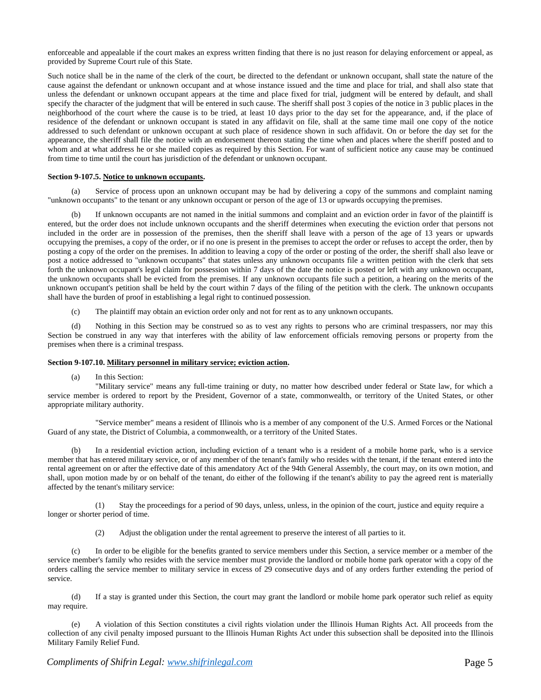enforceable and appealable if the court makes an express written finding that there is no just reason for delaying enforcement or appeal, as provided by Supreme Court rule of this State.

Such notice shall be in the name of the clerk of the court, be directed to the defendant or unknown occupant, shall state the nature of the cause against the defendant or unknown occupant and at whose instance issued and the time and place for trial, and shall also state that unless the defendant or unknown occupant appears at the time and place fixed for trial, judgment will be entered by default, and shall specify the character of the judgment that will be entered in such cause. The sheriff shall post 3 copies of the notice in 3 public places in the neighborhood of the court where the cause is to be tried, at least 10 days prior to the day set for the appearance, and, if the place of residence of the defendant or unknown occupant is stated in any affidavit on file, shall at the same time mail one copy of the notice addressed to such defendant or unknown occupant at such place of residence shown in such affidavit. On or before the day set for the appearance, the sheriff shall file the notice with an endorsement thereon stating the time when and places where the sheriff posted and to whom and at what address he or she mailed copies as required by this Section. For want of sufficient notice any cause may be continued from time to time until the court has jurisdiction of the defendant or unknown occupant.

### **Section 9-107.5. Notice to unknown occupants.**

(a) Service of process upon an unknown occupant may be had by delivering a copy of the summons and complaint naming "unknown occupants" to the tenant or any unknown occupant or person of the age of 13 or upwards occupying the premises.

If unknown occupants are not named in the initial summons and complaint and an eviction order in favor of the plaintiff is entered, but the order does not include unknown occupants and the sheriff determines when executing the eviction order that persons not included in the order are in possession of the premises, then the sheriff shall leave with a person of the age of 13 years or upwards occupying the premises, a copy of the order, or if no one is present in the premises to accept the order or refuses to accept the order, then by posting a copy of the order on the premises. In addition to leaving a copy of the order or posting of the order, the sheriff shall also leave or post a notice addressed to "unknown occupants" that states unless any unknown occupants file a written petition with the clerk that sets forth the unknown occupant's legal claim for possession within 7 days of the date the notice is posted or left with any unknown occupant, the unknown occupants shall be evicted from the premises. If any unknown occupants file such a petition, a hearing on the merits of the unknown occupant's petition shall be held by the court within 7 days of the filing of the petition with the clerk. The unknown occupants shall have the burden of proof in establishing a legal right to continued possession.

(c) The plaintiff may obtain an eviction order only and not for rent as to any unknown occupants.

(d) Nothing in this Section may be construed so as to vest any rights to persons who are criminal trespassers, nor may this Section be construed in any way that interferes with the ability of law enforcement officials removing persons or property from the premises when there is a criminal trespass.

### **Section 9-107.10. Military personnel in military service; eviction action.**

(a) In this Section:

"Military service" means any full-time training or duty, no matter how described under federal or State law, for which a service member is ordered to report by the President, Governor of a state, commonwealth, or territory of the United States, or other appropriate military authority.

"Service member" means a resident of Illinois who is a member of any component of the U.S. Armed Forces or the National Guard of any state, the District of Columbia, a commonwealth, or a territory of the United States.

(b) In a residential eviction action, including eviction of a tenant who is a resident of a mobile home park, who is a service member that has entered military service, or of any member of the tenant's family who resides with the tenant, if the tenant entered into the rental agreement on or after the effective date of this amendatory Act of the 94th General Assembly, the court may, on its own motion, and shall, upon motion made by or on behalf of the tenant, do either of the following if the tenant's ability to pay the agreed rent is materially affected by the tenant's military service:

(1) Stay the proceedings for a period of 90 days, unless, unless, in the opinion of the court, justice and equity require a longer or shorter period of time.

(2) Adjust the obligation under the rental agreement to preserve the interest of all parties to it.

(c) In order to be eligible for the benefits granted to service members under this Section, a service member or a member of the service member's family who resides with the service member must provide the landlord or mobile home park operator with a copy of the orders calling the service member to military service in excess of 29 consecutive days and of any orders further extending the period of service.

(d) If a stay is granted under this Section, the court may grant the landlord or mobile home park operator such relief as equity may require.

(e) A violation of this Section constitutes a civil rights violation under the Illinois Human Rights Act. All proceeds from the collection of any civil penalty imposed pursuant to the Illinois Human Rights Act under this subsection shall be deposited into the Illinois Military Family Relief Fund.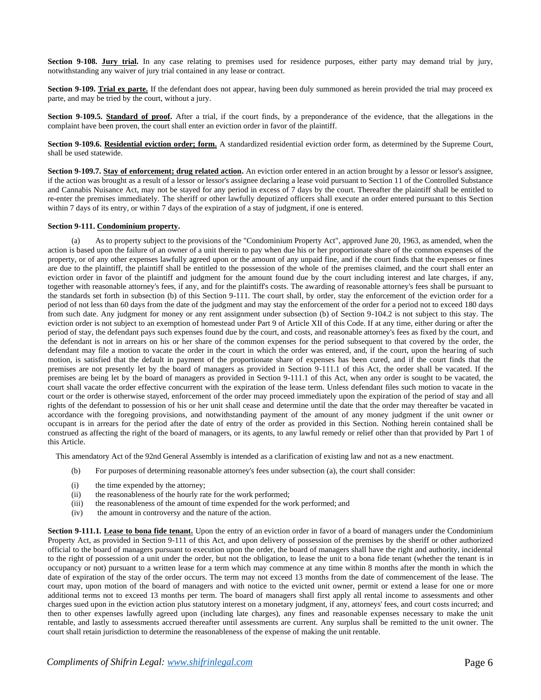Section 9-108. Jury trial. In any case relating to premises used for residence purposes, either party may demand trial by jury, notwithstanding any waiver of jury trial contained in any lease or contract.

**Section 9-109. Trial ex parte.** If the defendant does not appear, having been duly summoned as herein provided the trial may proceed ex parte, and may be tried by the court, without a jury.

**Section 9-109.5. Standard of proof.** After a trial, if the court finds, by a preponderance of the evidence, that the allegations in the complaint have been proven, the court shall enter an eviction order in favor of the plaintiff.

**Section 9-109.6. Residential eviction order; form.** A standardized residential eviction order form, as determined by the Supreme Court, shall be used statewide.

Section 9-109.7. Stay of enforcement; drug related action. An eviction order entered in an action brought by a lessor or lessor's assignee, if the action was brought as a result of a lessor or lessor's assignee declaring a lease void pursuant to Section 11 of the Controlled Substance and Cannabis Nuisance Act, may not be stayed for any period in excess of 7 days by the court. Thereafter the plaintiff shall be entitled to re-enter the premises immediately. The sheriff or other lawfully deputized officers shall execute an order entered pursuant to this Section within 7 days of its entry, or within 7 days of the expiration of a stay of judgment, if one is entered.

### **Section 9-111. Condominium property.**

As to property subject to the provisions of the "Condominium Property Act", approved June 20, 1963, as amended, when the action is based upon the failure of an owner of a unit therein to pay when due his or her proportionate share of the common expenses of the property, or of any other expenses lawfully agreed upon or the amount of any unpaid fine, and if the court finds that the expenses or fines are due to the plaintiff, the plaintiff shall be entitled to the possession of the whole of the premises claimed, and the court shall enter an eviction order in favor of the plaintiff and judgment for the amount found due by the court including interest and late charges, if any, together with reasonable attorney's fees, if any, and for the plaintiff's costs. The awarding of reasonable attorney's fees shall be pursuant to the standards set forth in subsection (b) of this Section 9-111. The court shall, by order, stay the enforcement of the eviction order for a period of not less than 60 days from the date of the judgment and may stay the enforcement of the order for a period not to exceed 180 days from such date. Any judgment for money or any rent assignment under subsection (b) of Section 9-104.2 is not subject to this stay. The eviction order is not subject to an exemption of homestead under Part 9 of Article XII of this Code. If at any time, either during or after the period of stay, the defendant pays such expenses found due by the court, and costs, and reasonable attorney's fees as fixed by the court, and the defendant is not in arrears on his or her share of the common expenses for the period subsequent to that covered by the order, the defendant may file a motion to vacate the order in the court in which the order was entered, and, if the court, upon the hearing of such motion, is satisfied that the default in payment of the proportionate share of expenses has been cured, and if the court finds that the premises are not presently let by the board of managers as provided in Section 9-111.1 of this Act, the order shall be vacated. If the premises are being let by the board of managers as provided in Section 9-111.1 of this Act, when any order is sought to be vacated, the court shall vacate the order effective concurrent with the expiration of the lease term. Unless defendant files such motion to vacate in the court or the order is otherwise stayed, enforcement of the order may proceed immediately upon the expiration of the period of stay and all rights of the defendant to possession of his or her unit shall cease and determine until the date that the order may thereafter be vacated in accordance with the foregoing provisions, and notwithstanding payment of the amount of any money judgment if the unit owner or occupant is in arrears for the period after the date of entry of the order as provided in this Section. Nothing herein contained shall be construed as affecting the right of the board of managers, or its agents, to any lawful remedy or relief other than that provided by Part 1 of this Article.

This amendatory Act of the 92nd General Assembly is intended as a clarification of existing law and not as a new enactment.

- (b) For purposes of determining reasonable attorney's fees under subsection (a), the court shall consider:
- (i) the time expended by the attorney;
- (ii) the reasonableness of the hourly rate for the work performed;
- (iii) the reasonableness of the amount of time expended for the work performed; and
- (iv) the amount in controversy and the nature of the action.

Section 9-111.1. Lease to bona fide tenant. Upon the entry of an eviction order in favor of a board of managers under the Condominium Property Act, as provided in Section 9-111 of this Act, and upon delivery of possession of the premises by the sheriff or other authorized official to the board of managers pursuant to execution upon the order, the board of managers shall have the right and authority, incidental to the right of possession of a unit under the order, but not the obligation, to lease the unit to a bona fide tenant (whether the tenant is in occupancy or not) pursuant to a written lease for a term which may commence at any time within 8 months after the month in which the date of expiration of the stay of the order occurs. The term may not exceed 13 months from the date of commencement of the lease. The court may, upon motion of the board of managers and with notice to the evicted unit owner, permit or extend a lease for one or more additional terms not to exceed 13 months per term. The board of managers shall first apply all rental income to assessments and other charges sued upon in the eviction action plus statutory interest on a monetary judgment, if any, attorneys' fees, and court costs incurred; and then to other expenses lawfully agreed upon (including late charges), any fines and reasonable expenses necessary to make the unit rentable, and lastly to assessments accrued thereafter until assessments are current. Any surplus shall be remitted to the unit owner. The court shall retain jurisdiction to determine the reasonableness of the expense of making the unit rentable.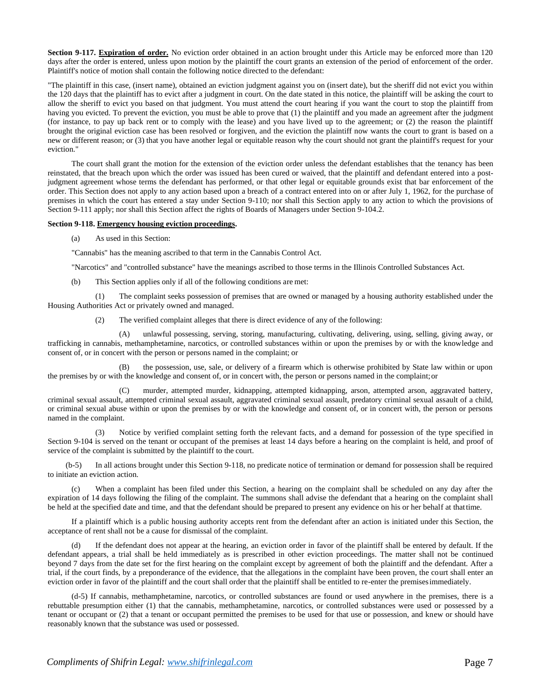**Section 9-117. Expiration of order.** No eviction order obtained in an action brought under this Article may be enforced more than 120 days after the order is entered, unless upon motion by the plaintiff the court grants an extension of the period of enforcement of the order. Plaintiff's notice of motion shall contain the following notice directed to the defendant:

"The plaintiff in this case, (insert name), obtained an eviction judgment against you on (insert date), but the sheriff did not evict you within the 120 days that the plaintiff has to evict after a judgment in court. On the date stated in this notice, the plaintiff will be asking the court to allow the sheriff to evict you based on that judgment. You must attend the court hearing if you want the court to stop the plaintiff from having you evicted. To prevent the eviction, you must be able to prove that (1) the plaintiff and you made an agreement after the judgment (for instance, to pay up back rent or to comply with the lease) and you have lived up to the agreement; or (2) the reason the plaintiff brought the original eviction case has been resolved or forgiven, and the eviction the plaintiff now wants the court to grant is based on a new or different reason; or (3) that you have another legal or equitable reason why the court should not grant the plaintiff's request for your eviction."

The court shall grant the motion for the extension of the eviction order unless the defendant establishes that the tenancy has been reinstated, that the breach upon which the order was issued has been cured or waived, that the plaintiff and defendant entered into a postjudgment agreement whose terms the defendant has performed, or that other legal or equitable grounds exist that bar enforcement of the order. This Section does not apply to any action based upon a breach of a contract entered into on or after July 1, 1962, for the purchase of premises in which the court has entered a stay under Section 9-110; nor shall this Section apply to any action to which the provisions of Section 9-111 apply; nor shall this Section affect the rights of Boards of Managers under Section 9-104.2.

#### **Section 9-118. Emergency housing eviction proceedings.**

(a) As used in this Section:

"Cannabis" has the meaning ascribed to that term in the Cannabis Control Act.

"Narcotics" and "controlled substance" have the meanings ascribed to those terms in the Illinois Controlled Substances Act.

(b) This Section applies only if all of the following conditions are met:

(1) The complaint seeks possession of premises that are owned or managed by a housing authority established under the Housing Authorities Act or privately owned and managed.

(2) The verified complaint alleges that there is direct evidence of any of the following:

(A) unlawful possessing, serving, storing, manufacturing, cultivating, delivering, using, selling, giving away, or trafficking in cannabis, methamphetamine, narcotics, or controlled substances within or upon the premises by or with the knowledge and consent of, or in concert with the person or persons named in the complaint; or

(B) the possession, use, sale, or delivery of a firearm which is otherwise prohibited by State law within or upon the premises by or with the knowledge and consent of, or in concert with, the person or persons named in the complaint;or

(C) murder, attempted murder, kidnapping, attempted kidnapping, arson, attempted arson, aggravated battery, criminal sexual assault, attempted criminal sexual assault, aggravated criminal sexual assault, predatory criminal sexual assault of a child, or criminal sexual abuse within or upon the premises by or with the knowledge and consent of, or in concert with, the person or persons named in the complaint.

(3) Notice by verified complaint setting forth the relevant facts, and a demand for possession of the type specified in Section 9-104 is served on the tenant or occupant of the premises at least 14 days before a hearing on the complaint is held, and proof of service of the complaint is submitted by the plaintiff to the court.

(b-5) In all actions brought under this Section 9-118, no predicate notice of termination or demand for possession shall be required to initiate an eviction action.

When a complaint has been filed under this Section, a hearing on the complaint shall be scheduled on any day after the expiration of 14 days following the filing of the complaint. The summons shall advise the defendant that a hearing on the complaint shall be held at the specified date and time, and that the defendant should be prepared to present any evidence on his or her behalf at thattime.

If a plaintiff which is a public housing authority accepts rent from the defendant after an action is initiated under this Section, the acceptance of rent shall not be a cause for dismissal of the complaint.

If the defendant does not appear at the hearing, an eviction order in favor of the plaintiff shall be entered by default. If the defendant appears, a trial shall be held immediately as is prescribed in other eviction proceedings. The matter shall not be continued beyond 7 days from the date set for the first hearing on the complaint except by agreement of both the plaintiff and the defendant. After a trial, if the court finds, by a preponderance of the evidence, that the allegations in the complaint have been proven, the court shall enter an eviction order in favor of the plaintiff and the court shall order that the plaintiff shall be entitled to re-enter the premisesimmediately.

(d-5) If cannabis, methamphetamine, narcotics, or controlled substances are found or used anywhere in the premises, there is a rebuttable presumption either (1) that the cannabis, methamphetamine, narcotics, or controlled substances were used or possessed by a tenant or occupant or (2) that a tenant or occupant permitted the premises to be used for that use or possession, and knew or should have reasonably known that the substance was used or possessed.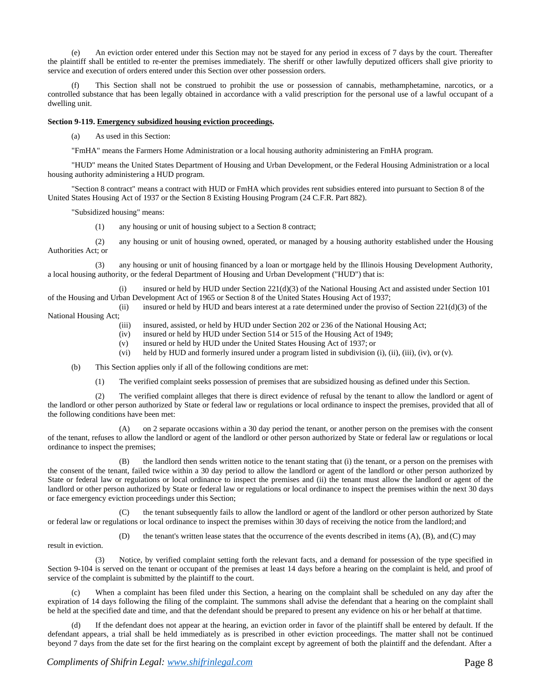(e) An eviction order entered under this Section may not be stayed for any period in excess of 7 days by the court. Thereafter the plaintiff shall be entitled to re-enter the premises immediately. The sheriff or other lawfully deputized officers shall give priority to service and execution of orders entered under this Section over other possession orders.

(f) This Section shall not be construed to prohibit the use or possession of cannabis, methamphetamine, narcotics, or a controlled substance that has been legally obtained in accordance with a valid prescription for the personal use of a lawful occupant of a dwelling unit.

### **Section 9-119. Emergency subsidized housing eviction proceedings.**

(a) As used in this Section:

"FmHA" means the Farmers Home Administration or a local housing authority administering an FmHA program.

"HUD" means the United States Department of Housing and Urban Development, or the Federal Housing Administration or a local housing authority administering a HUD program.

"Section 8 contract" means a contract with HUD or FmHA which provides rent subsidies entered into pursuant to Section 8 of the United States Housing Act of 1937 or the Section 8 Existing Housing Program (24 C.F.R. Part 882).

"Subsidized housing" means:

(1) any housing or unit of housing subject to a Section 8 contract;

(2) any housing or unit of housing owned, operated, or managed by a housing authority established under the Housing Authorities Act; or

(3) any housing or unit of housing financed by a loan or mortgage held by the Illinois Housing Development Authority, a local housing authority, or the federal Department of Housing and Urban Development ("HUD") that is:

(i) insured or held by HUD under Section 221(d)(3) of the National Housing Act and assisted under Section 101 of the Housing and Urban Development Act of 1965 or Section 8 of the United States Housing Act of 1937;

(ii) insured or held by HUD and bears interest at a rate determined under the proviso of Section  $221(d)(3)$  of the National Housing Act;

- insured, assisted, or held by HUD under Section 202 or 236 of the National Housing Act;
- (iv) insured or held by HUD under Section 514 or 515 of the Housing Act of 1949;
- (v) insured or held by HUD under the United States Housing Act of 1937; or
- (vi) held by HUD and formerly insured under a program listed in subdivision (i), (ii), (iii), (iv), or (v).
- (b) This Section applies only if all of the following conditions are met:
	- (1) The verified complaint seeks possession of premises that are subsidized housing as defined under this Section.

The verified complaint alleges that there is direct evidence of refusal by the tenant to allow the landlord or agent of the landlord or other person authorized by State or federal law or regulations or local ordinance to inspect the premises, provided that all of the following conditions have been met:

(A) on 2 separate occasions within a 30 day period the tenant, or another person on the premises with the consent of the tenant, refuses to allow the landlord or agent of the landlord or other person authorized by State or federal law or regulations or local ordinance to inspect the premises;

(B) the landlord then sends written notice to the tenant stating that (i) the tenant, or a person on the premises with the consent of the tenant, failed twice within a 30 day period to allow the landlord or agent of the landlord or other person authorized by State or federal law or regulations or local ordinance to inspect the premises and (ii) the tenant must allow the landlord or agent of the landlord or other person authorized by State or federal law or regulations or local ordinance to inspect the premises within the next 30 days or face emergency eviction proceedings under this Section;

(C) the tenant subsequently fails to allow the landlord or agent of the landlord or other person authorized by State or federal law or regulations or local ordinance to inspect the premises within 30 days of receiving the notice from the landlord; and

(D) the tenant's written lease states that the occurrence of the events described in items (A), (B), and (C) may

result in eviction.

Notice, by verified complaint setting forth the relevant facts, and a demand for possession of the type specified in Section 9-104 is served on the tenant or occupant of the premises at least 14 days before a hearing on the complaint is held, and proof of service of the complaint is submitted by the plaintiff to the court.

(c) When a complaint has been filed under this Section, a hearing on the complaint shall be scheduled on any day after the expiration of 14 days following the filing of the complaint. The summons shall advise the defendant that a hearing on the complaint shall be held at the specified date and time, and that the defendant should be prepared to present any evidence on his or her behalf at thattime.

If the defendant does not appear at the hearing, an eviction order in favor of the plaintiff shall be entered by default. If the defendant appears, a trial shall be held immediately as is prescribed in other eviction proceedings. The matter shall not be continued beyond 7 days from the date set for the first hearing on the complaint except by agreement of both the plaintiff and the defendant. After a